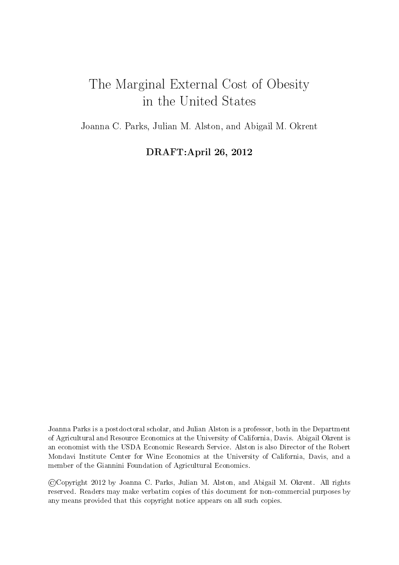# The Marginal External Cost of Obesity in the United States

Joanna C. Parks, Julian M. Alston, and Abigail M. Okrent

DRAFT:April 26, 2012

Joanna Parks is a postdoctoral scholar, and Julian Alston is a professor, both in the Department of Agricultural and Resource Economics at the University of California, Davis. Abigail Okrent is an economist with the USDA Economic Research Service. Alston is also Director of the Robert Mondavi Institute Center for Wine Economics at the University of California, Davis, and a member of the Giannini Foundation of Agricultural Economics.

@Copyright 2012 by Joanna C. Parks, Julian M. Alston, and Abigail M. Okrent. All rights reserved. Readers may make verbatim copies of this document for non-commercial purposes by any means provided that this copyright notice appears on all such copies.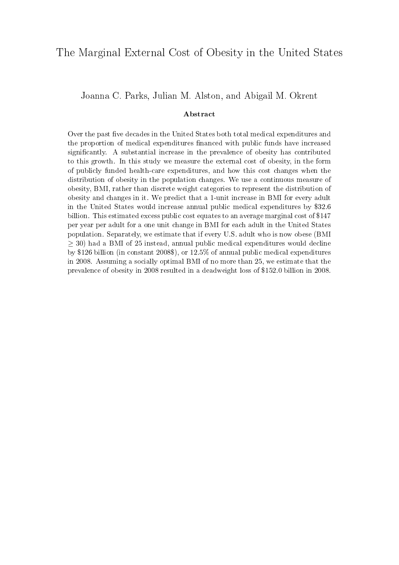### The Marginal External Cost of Obesity in the United States

#### Joanna C. Parks, Julian M. Alston, and Abigail M. Okrent

#### Abstract

Over the past fve decades in the United States both total medical expenditures and the proportion of medical expenditures fnanced with public funds have increased signifcantly. A substantial increase in the prevalence of obesity has contributed to this growth. In this study we measure the external cost of obesity, in the form of publicly funded health-care expenditures, and how this cost changes when the distribution of obesity in the population changes. We use a continuous measure of obesity, BMI, rather than discrete weight categories to represent the distribution of obesity and changes in it. We predict that a 1-unit increase in BMI for every adult in the United States would increase annual public medical expenditures by \$32.6 billion. This estimated excess public cost equates to an average marginal cost of \$147 per year per adult for a one unit change in BMI for each adult in the United States population. Separately, we estimate that if every U.S. adult who is now obese (BMI  $\geq$  30) had a BMI of 25 instead, annual public medical expenditures would decline by \$126 billion (in constant 2008\$), or 12.5% of annual public medical expenditures in 2008. Assuming a socially optimal BMI of no more than 25, we estimate that the prevalence of obesity in 2008 resulted in a deadweight loss of \$152.0 billion in 2008.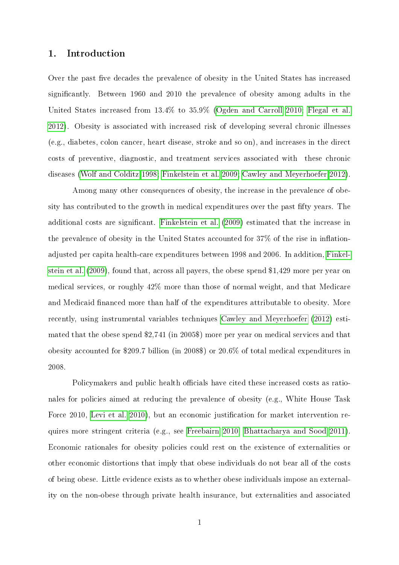#### 1. Introduction

Over the past fve decades the prevalence of obesity in the United States has increased signifcantly. Between 1960 and 2010 the prevalence of obesity among adults in the United States increased from 13.4% to 35.9% (Ogden and [Carroll](#page-23-0) [2010;](#page-23-0) [Flegal](#page-22-0) et al. [2012\)](#page-22-0). Obesity is associated with increased risk of developing several chronic illnesses (e.g., diabetes, colon cancer, heart disease, stroke and so on), and increases in the direct costs of preventive, diagnostic, and treatment services associated with these chronic diseases (Wolf and [Colditz](#page-23-1) [1998;](#page-23-1) [Finkelstein](#page-22-1) et al. [2009;](#page-22-1) Cawley and [Meyerhoefer](#page-22-2) [2012\)](#page-22-2).

Among many other consequences of obesity, the increase in the prevalence of obesity has contributed to the growth in medical expenditures over the past ffty years. The additional costs are signifcant. [Finkelstein](#page-22-1) et al. [\(2009\)](#page-22-1) estimated that the increase in the prevalence of obesity in the United States accounted for 37% of the rise in infation-adjusted per capita health-care expenditures between 1998 and 2006. In addition, [Finkel](#page-22-1)[stein](#page-22-1) et al. [\(2009\)](#page-22-1), found that, across all payers, the obese spend \$1,429 more per year on medical services, or roughly 42% more than those of normal weight, and that Medicare and Medicaid fnanced more than half of the expenditures attributable to obesity. More recently, using instrumental variables techniques Cawley and [Meyerhoefer](#page-22-2) [\(2012\)](#page-22-2) estimated that the obese spend \$2,741 (in 2005\$) more per year on medical services and that obesity accounted for \$209.7 billion (in 2008\$) or 20.6% of total medical expenditures in 2008.

Policymakers and public health officials have cited these increased costs as rationales for policies aimed at reducing the prevalence of obesity (e.g., White House Task Force 2010, [Levi](#page-23-2) et al. [2010\)](#page-23-2), but an economic justification for market intervention requires more stringent criteria (e.g., see [Freebairn](#page-22-3) [2010,](#page-22-3) [Bhattacharya](#page-22-4) and Sood [2011\)](#page-22-4). Economic rationales for obesity policies could rest on the existence of externalities or other economic distortions that imply that obese individuals do not bear all of the costs of being obese. Little evidence exists as to whether obese individuals impose an externality on the non-obese through private health insurance, but externalities and associated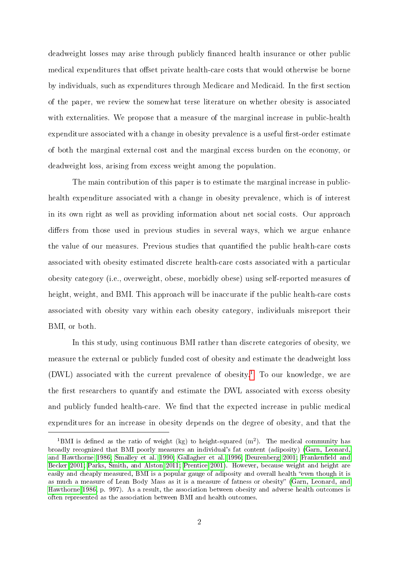deadweight losses may arise through publicly fnanced health insurance or other public medical expenditures that offset private health-care costs that would otherwise be borne by individuals, such as expenditures through Medicare and Medicaid. In the frst section of the paper, we review the somewhat terse literature on whether obesity is associated with externalities. We propose that a measure of the marginal increase in public-health expenditure associated with a change in obesity prevalence is a useful first-order estimate of both the marginal external cost and the marginal excess burden on the economy, or deadweight loss, arising from excess weight among the population.

The main contribution of this paper is to estimate the marginal increase in publichealth expenditure associated with a change in obesity prevalence, which is of interest in its own right as well as providing information about net social costs. Our approach difers from those used in previous studies in several ways, which we argue enhance the value of our measures. Previous studies that quantified the public health-care costs associated with obesity estimated discrete health-care costs associated with a particular obesity category (i.e., overweight, obese, morbidly obese) using self-reported measures of height, weight, and BMI. This approach will be inaccurate if the public health-care costs associated with obesity vary within each obesity category, individuals misreport their BMI, or both.

In this study, using continuous BMI rather than discrete categories of obesity, we measure the external or publicly funded cost of obesity and estimate the deadweight loss  $(DWL)$  associated with the current prevalence of obesity.<sup>[1](#page-3-0)</sup> To our knowledge, we are the first researchers to quantify and estimate the DWL associated with excess obesity and publicly funded health-care. We find that the expected increase in public medical expenditures for an increase in obesity depends on the degree of obesity, and that the

<span id="page-3-0"></span><sup>&</sup>lt;sup>1</sup>BMI is defined as the ratio of weight (kg) to height-squared  $(m^2)$ . The medical community has broadly recognized that BMI poorly measures an individual's fat content (adiposity) (Garn, [Leonard,](#page-23-3) and [Hawthorne](#page-23-3) [1986;](#page-23-3) [Smalley](#page-23-4) et al. [1990;](#page-23-4) [Gallagher](#page-22-5) et al. [1996;](#page-22-5) [Deurenberg](#page-22-6) [2001;](#page-22-6) [Frankenfeld](#page-22-7) and [Becker](#page-22-7) [2001;](#page-22-7) Parks, [Smith,](#page-23-5) and Alston [2011;](#page-23-5) [Prentice](#page-23-6) [2001\)](#page-23-6). However, because weight and height are easily and cheaply measured, BMI is a popular gauge of adiposity and overall health "even though it is as much a measure of Lean Body Mass as it is a measure of fatness or obesity" (Garn, [Leonard,](#page-23-3) and [Hawthorne](#page-23-3) [1986,](#page-23-3) p. 997). As a result, the association between obesity and adverse health outcomes is often represented as the association between BMI and health outcomes.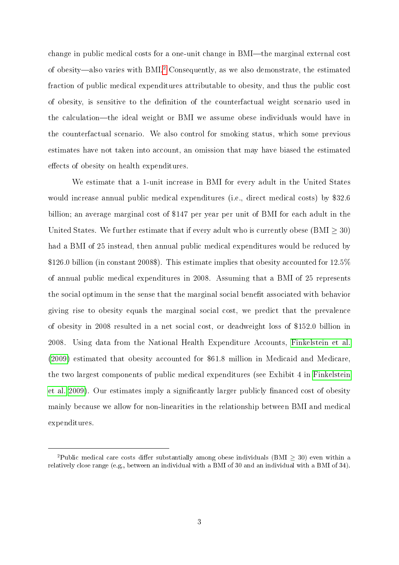change in public medical costs for a one-unit change in BMI—the marginal external cost of obesity-also varies with BMI.[2](#page-4-0) Consequently, as we also demonstrate, the estimated fraction of public medical expenditures attributable to obesity, and thus the public cost of obesity, is sensitive to the defnition of the counterfactual weight scenario used in the calculation-the ideal weight or BMI we assume obese individuals would have in the counterfactual scenario. We also control for smoking status, which some previous estimates have not taken into account, an omission that may have biased the estimated efects of obesity on health expenditures.

We estimate that a 1-unit increase in BMI for every adult in the United States would increase annual public medical expenditures (i.e., direct medical costs) by \$32.6 billion; an average marginal cost of \$147 per year per unit of BMI for each adult in the United States. We further estimate that if every adult who is currently obese (BMI  $\geq$  30) had a BMI of 25 instead, then annual public medical expenditures would be reduced by \$126.0 billion (in constant 2008\$). This estimate implies that obesity accounted for 12.5% of annual public medical expenditures in 2008. Assuming that a BMI of 25 represents the social optimum in the sense that the marginal social beneft associated with behavior giving rise to obesity equals the marginal social cost, we predict that the prevalence of obesity in 2008 resulted in a net social cost, or deadweight loss of \$152.0 billion in 2008. Using data from the National Health Expenditure Accounts, [Finkelstein](#page-22-1) et al. [\(2009\)](#page-22-1) estimated that obesity accounted for \$61.8 million in Medicaid and Medicare, the two largest components of public medical expenditures (see Exhibit 4 in [Finkelstein](#page-22-1) et [al.](#page-22-1) [2009\)](#page-22-1). Our estimates imply a signifcantly larger publicly fnanced cost of obesity mainly because we allow for non-linearities in the relationship between BMI and medical expenditures.

<span id="page-4-0"></span><sup>&</sup>lt;sup>2</sup>Public medical care costs differ substantially among obese individuals (BMI  $\geq$  30) even within a relatively close range (e.g., between an individual with a BMI of 30 and an individual with a BMI of 34).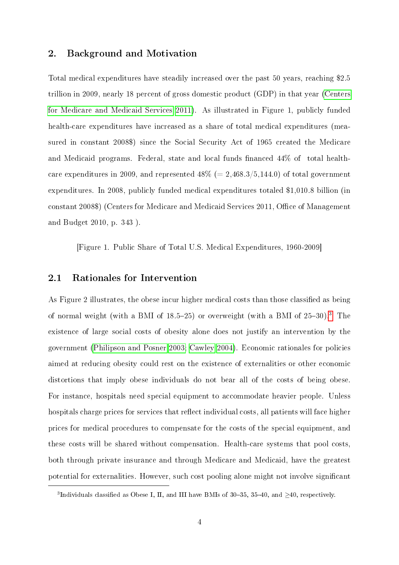#### 2. Background and Motivation

Total medical expenditures have steadily increased over the past 50 years, reaching \$2.5 trillion in 2009, nearly 18 percent of gross domestic product (GDP) in that year [\(Centers](#page-22-8) for [Medicare](#page-22-8) and Medicaid Services [2011\)](#page-22-8). As illustrated in Figure 1, publicly funded health-care expenditures have increased as a share of total medical expenditures (measured in constant 2008\$) since the Social Security Act of 1965 created the Medicare and Medicaid programs. Federal, state and local funds fnanced 44% of total healthcare expenditures in 2009, and represented  $48\%$  (= 2,468.3/5,144.0) of total government expenditures. In 2008, publicly funded medical expenditures totaled \$1,010.8 billion (in constant 2008\$) (Centers for Medicare and Medicaid Services 2011, Office of Management and Budget 2010, p. 343 ).

[Figure 1. Public Share of Total U.S. Medical Expenditures, 1960-2009]

#### 2.1 Rationales for Intervention

As Figure 2 illustrates, the obese incur higher medical costs than those classifed as being of normal weight (with a BMI of 18.5-25) or overweight (with a BMI of 25-30).[3](#page-5-0) The existence of large social costs of obesity alone does not justify an intervention by the government [\(Philipson](#page-23-7) and Posner [2003;](#page-23-7) [Cawley](#page-22-9) [2004\)](#page-22-9). Economic rationales for policies aimed at reducing obesity could rest on the existence of externalities or other economic distortions that imply obese individuals do not bear all of the costs of being obese. For instance, hospitals need special equipment to accommodate heavier people. Unless hospitals charge prices for services that refect individual costs, all patients will face higher prices for medical procedures to compensate for the costs of the special equipment, and these costs will be shared without compensation. Health-care systems that pool costs, both through private insurance and through Medicare and Medicaid, have the greatest potential for externalities. However, such cost pooling alone might not involve signifcant

<span id="page-5-0"></span><sup>&</sup>lt;sup>3</sup>Individuals classified as Obese I, II, and III have BMIs of 30–35, 35–40, and  $\geq$ 40, respectively.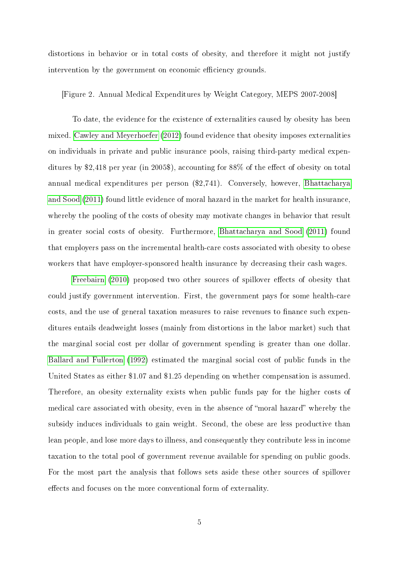distortions in behavior or in total costs of obesity, and therefore it might not justify intervention by the government on economic efficiency grounds.

#### [Figure 2. Annual Medical Expenditures by Weight Category, MEPS 2007-2008]

To date, the evidence for the existence of externalities caused by obesity has been mixed. Cawley and [Meyerhoefer](#page-22-2) [\(2012\)](#page-22-2) found evidence that obesity imposes externalities on individuals in private and public insurance pools, raising third-party medical expenditures by \$2,418 per year (in 2005\$), accounting for 88% of the efect of obesity on total annual medical expenditures per person (\$2,741). Conversely, however, [Bhattacharya](#page-22-4) and [Sood](#page-22-4) [\(2011\)](#page-22-4) found little evidence of moral hazard in the market for health insurance, whereby the pooling of the costs of obesity may motivate changes in behavior that result in greater social costs of obesity. Furthermore, [Bhattacharya](#page-22-4) and Sood [\(2011\)](#page-22-4) found that employers pass on the incremental health-care costs associated with obesity to obese workers that have employer-sponsored health insurance by decreasing their cash wages.

[Freebairn](#page-22-3) [\(2010\)](#page-22-3) proposed two other sources of spillover efects of obesity that could justify government intervention. First, the government pays for some health-care costs, and the use of general taxation measures to raise revenues to fnance such expenditures entails deadweight losses (mainly from distortions in the labor market) such that the marginal social cost per dollar of government spending is greater than one dollar. Ballard and [Fullerton](#page-22-10) [\(1992\)](#page-22-10) estimated the marginal social cost of public funds in the United States as either \$1.07 and \$1.25 depending on whether compensation is assumed. Therefore, an obesity externality exists when public funds pay for the higher costs of medical care associated with obesity, even in the absence of "moral hazard" whereby the subsidy induces individuals to gain weight. Second, the obese are less productive than lean people, and lose more days to illness, and consequently they contribute less in income taxation to the total pool of government revenue available for spending on public goods. For the most part the analysis that follows sets aside these other sources of spillover efects and focuses on the more conventional form of externality.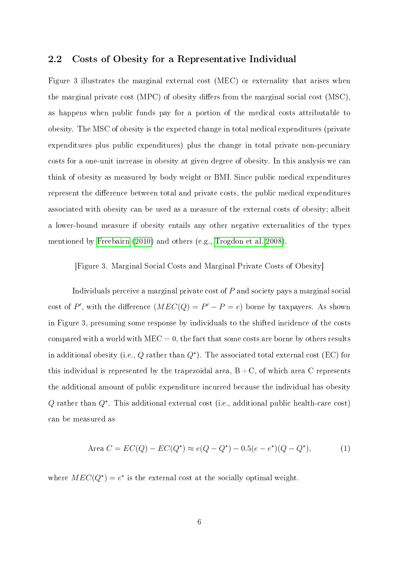#### 2.2 Costs of Obesity for a Representative Individual

Figure 3 illustrates the marginal external cost (MEC) or externality that arises when the marginal private cost (MPC) of obesity difers from the marginal social cost (MSC), as happens when public funds pay for a portion of the medical costs attributable to obesity. The MSC of obesity is the expected change in total medical expenditures (private expenditures plus public expenditures) plus the change in total private non-pecuniary costs for a one-unit increase in obesity at given degree of obesity. In this analysis we can think of obesity as measured by body weight or BMI. Since public medical expenditures represent the diference between total and private costs, the public medical expenditures associated with obesity can be used as a measure of the external costs of obesity; albeit a lower-bound measure if obesity entails any other negative externalities of the types mentioned by [Freebairn](#page-22-3) [\(2010\)](#page-22-3) and others (e.g., [Trogdon](#page-23-8) et al. [2008\)](#page-23-8).

[Figure 3. Marginal Social Costs and Marginal Private Costs of Obesity]

Individuals perceive a marginal private cost of P and society pays a marginal social cost of P', with the difference  $(MEC(Q) = P' - P = e)$  borne by taxpayers. As shown in Figure 3, presuming some response by individuals to the shifted incidence of the costs compared with a world with  $MEC = 0$ , the fact that some costs are borne by others results in additional obesity (i.e., Q rather than  $Q^*$ ). The associated total external cost (EC) for this individual is represented by the trapezoidal area,  $B + C$ , of which area C represents the additional amount of public expenditure incurred because the individual has obesity Q rather than  $Q^*$ . This additional external cost (i.e., additional public health-care cost) can be measured as

Area 
$$
C = EC(Q) - EC(Q^*) \approx e(Q - Q^*) - 0.5(e - e^*)(Q - Q^*),
$$
 (1)

where  $MEC(Q^*) = e^*$  is the external cost at the socially optimal weight.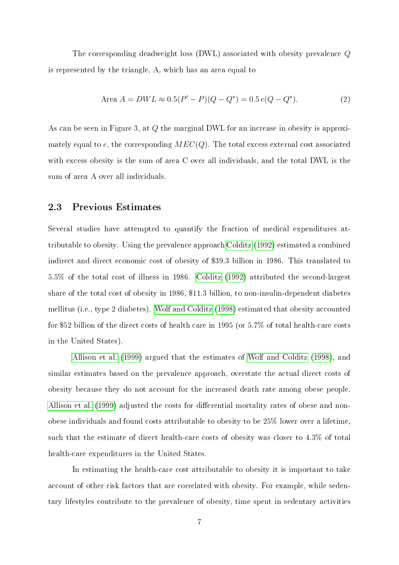The corresponding deadweight loss (DWL) associated with obesity prevalence  $Q$ is represented by the triangle, A, which has an area equal to

Area 
$$
A = DWL \approx 0.5(P' - P)(Q - Q^*) = 0.5 e(Q - Q^*)
$$
. (2)

As can be seen in Figure 3, at  $Q$  the marginal DWL for an increase in obesity is approximately equal to e, the corresponding  $MEC(Q)$ . The total excess external cost associated with excess obesity is the sum of area  $C$  over all individuals, and the total DWL is the sum of area A over all individuals.

#### 2.3 Previous Estimates

Several studies have attempted to quantify the fraction of medical expenditures attributable to obesity. Using the prevalence approach [Colditz](#page-22-11) [\(1992\)](#page-22-11) estimated a combined indirect and direct economic cost of obesity of \$39.3 billion in 1986. This translated to  $5.5\%$  of the total cost of illness in 1986. [Colditz](#page-22-11) [\(1992\)](#page-22-11) attributed the second-largest share of the total cost of obesity in 1986, \$11.3 billion, to non-insulin-dependent diabetes mellitus (i.e., type 2 diabetes). Wolf and [Colditz](#page-23-1) [\(1998\)](#page-23-1) estimated that obesity accounted for \$52 billion of the direct costs of health care in 1995 (or  $5.7\%$  of total health-care costs in the United States).

[Allison](#page-22-12) et al. [\(1999\)](#page-22-12) argued that the estimates of Wolf and [Colditz](#page-23-1) [\(1998\)](#page-23-1), and similar estimates based on the prevalence approach, overstate the actual direct costs of obesity because they do not account for the increased death rate among obese people. [Allison](#page-22-12) et al. [\(1999\)](#page-22-12) adjusted the costs for diferential mortality rates of obese and nonobese individuals and found costs attributable to obesity to be 25% lower over a lifetime, such that the estimate of direct health-care costs of obesity was closer to  $4.3\%$  of total health-care expenditures in the United States.

In estimating the health-care cost attributable to obesity it is important to take account of other risk factors that are correlated with obesity. For example, while sedentary lifestyles contribute to the prevalence of obesity, time spent in sedentary activities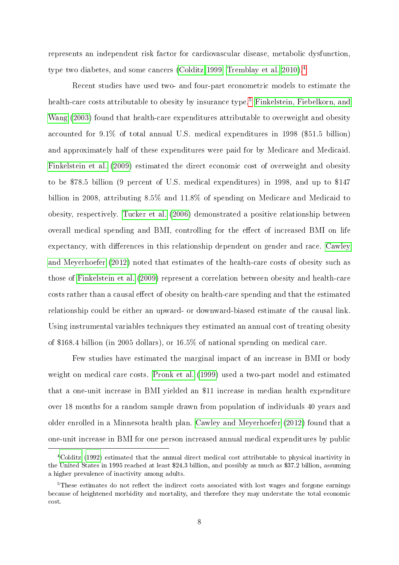represents an independent risk factor for cardiovascular disease, metabolic dysfunction, type two diabetes, and some cancers [\(Colditz](#page-22-13) [1999;](#page-22-13) [Tremblay](#page-23-9) et al. [2010\)](#page-23-9)[.4](#page-9-0)

Recent studies have used two- and four-part econometric models to estimate the health-care costs attributable to obesity by insurance type.<sup>5</sup> [Finkelstein,](#page-22-14) Fiebelkorn, and  $\text{Wang}$  [\(2003\)](#page-22-14) found that health-care expenditures attributable to overweight and obesity accounted for 9.1% of total annual U.S. medical expenditures in 1998 (\$51.5 billion) and approximately half of these expenditures were paid for by Medicare and Medicaid. [Finkelstein](#page-22-1) et al. [\(2009\)](#page-22-1) estimated the direct economic cost of overweight and obesity to be \$78.5 billion (9 percent of U.S. medical expenditures) in 1998, and up to \$147 billion in 2008, attributing 8.5% and 11.8% of spending on Medicare and Medicaid to obesity, respectively. [Tucker](#page-23-10) et al. [\(2006\)](#page-23-10) demonstrated a positive relationship between overall medical spending and BMI, controlling for the efect of increased BMI on life expectancy, with diferences in this relationship dependent on gender and race. [Cawley](#page-22-2) and [Meyerhoefer](#page-22-2) [\(2012\)](#page-22-2) noted that estimates of the health-care costs of obesity such as those of [Finkelstein](#page-22-1) et al. [\(2009\)](#page-22-1) represent a correlation between obesity and health-care costs rather than a causal effect of obesity on health-care spending and that the estimated relationship could be either an upward- or downward-biased estimate of the causal link. Using instrumental variables techniques they estimated an annual cost of treating obesity of \$168.4 billion (in 2005 dollars), or 16.5% of national spending on medical care.

Few studies have estimated the marginal impact of an increase in BMI or body weight on medical care costs. [Pronk](#page-23-11) et al. [\(1999\)](#page-23-11) used a two-part model and estimated that a one-unit increase in BMI yielded an \$11 increase in median health expenditure over 18 months for a random sample drawn from population of individuals 40 years and older enrolled in a Minnesota health plan. Cawley and [Meyerhoefer](#page-22-2) [\(2012\)](#page-22-2) found that a one-unit increase in BMI for one person increased annual medical expenditures by public

<span id="page-9-0"></span>[<sup>4</sup>Colditz](#page-22-11) [\(1992\)](#page-22-11) estimated that the annual direct medical cost attributable to physical inactivity in the United States in 1995 reached at least \$24.3 billion, and possibly as much as \$37.2 billion, assuming a higher prevalence of inactivity among adults.

<span id="page-9-1"></span><sup>&</sup>lt;sup>5</sup>These estimates do not reflect the indirect costs associated with lost wages and forgone earnings because of heightened morbidity and mortality, and therefore they may understate the total economic cost.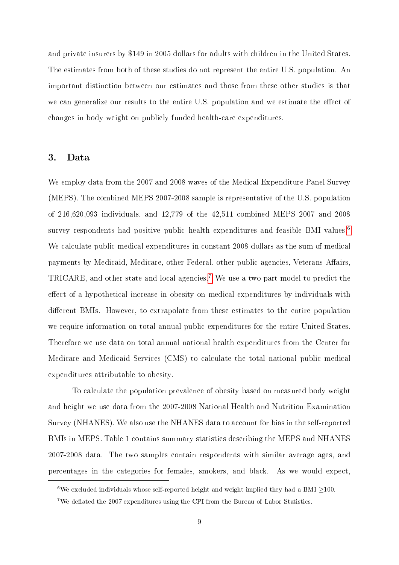and private insurers by \$149 in 2005 dollars for adults with children in the United States. The estimates from both of these studies do not represent the entire U.S. population. An important distinction between our estimates and those from these other studies is that we can generalize our results to the entire U.S. population and we estimate the efect of changes in body weight on publicly funded health-care expenditures.

#### 3. Data

We employ data from the 2007 and 2008 waves of the Medical Expenditure Panel Survey (MEPS). The combined MEPS 2007-2008 sample is representative of the U.S. population of 216,620,093 individuals, and 12,779 of the 42,511 combined MEPS 2007 and 2008 survey respondents had positive public health expenditures and feasible BMI values.<sup>[6](#page-10-0)</sup> We calculate public medical expenditures in constant 2008 dollars as the sum of medical payments by Medicaid, Medicare, other Federal, other public agencies, Veterans Afairs, TRICARE, and other state and local agencies.<sup>[7](#page-10-1)</sup> We use a two-part model to predict the efect of a hypothetical increase in obesity on medical expenditures by individuals with diferent BMIs. However, to extrapolate from these estimates to the entire population we require information on total annual public expenditures for the entire United States. Therefore we use data on total annual national health expenditures from the Center for Medicare and Medicaid Services (CMS) to calculate the total national public medical expenditures attributable to obesity.

To calculate the population prevalence of obesity based on measured body weight and height we use data from the 2007-2008 National Health and Nutrition Examination Survey (NHANES). We also use the NHANES data to account for bias in the self-reported BMIs in MEPS. Table 1 contains summary statistics describing the MEPS and NHANES 20072008 data. The two samples contain respondents with similar average ages, and percentages in the categories for females, smokers, and black. As we would expect,

<span id="page-10-0"></span><sup>&</sup>lt;sup>6</sup>We excluded individuals whose self-reported height and weight implied they had a BMI  $>$ 100.

<span id="page-10-1"></span><sup>7</sup>We defated the 2007 expenditures using the CPI from the Bureau of Labor Statistics.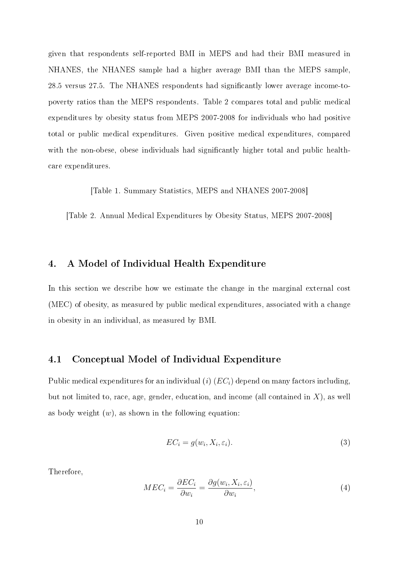given that respondents self-reported BMI in MEPS and had their BMI measured in NHANES, the NHANES sample had a higher average BMI than the MEPS sample, 28.5 versus 27.5. The NHANES respondents had signifcantly lower average incometopoverty ratios than the MEPS respondents. Table 2 compares total and public medical expenditures by obesity status from MEPS 2007-2008 for individuals who had positive total or public medical expenditures. Given positive medical expenditures, compared with the non-obese, obese individuals had significantly higher total and public healthcare expenditures.

[Table 1. Summary Statistics, MEPS and NHANES 2007-2008]

[Table 2. Annual Medical Expenditures by Obesity Status, MEPS 2007-2008]

#### 4. A Model of Individual Health Expenditure

In this section we describe how we estimate the change in the marginal external cost (MEC) of obesity, as measured by public medical expenditures, associated with a change in obesity in an individual, as measured by BMI.

#### 4.1 Conceptual Model of Individual Expenditure

Public medical expenditures for an individual (i)  $(EC<sub>i</sub>)$  depend on many factors including, but not limited to, race, age, gender, education, and income (all contained in  $X$ ), as well as body weight  $(w)$ , as shown in the following equation:

$$
EC_i = g(w_i, X_i, \varepsilon_i). \tag{3}
$$

Therefore,

$$
MEC_i = \frac{\partial EC_i}{\partial w_i} = \frac{\partial g(w_i, X_i, \varepsilon_i)}{\partial w_i},\tag{4}
$$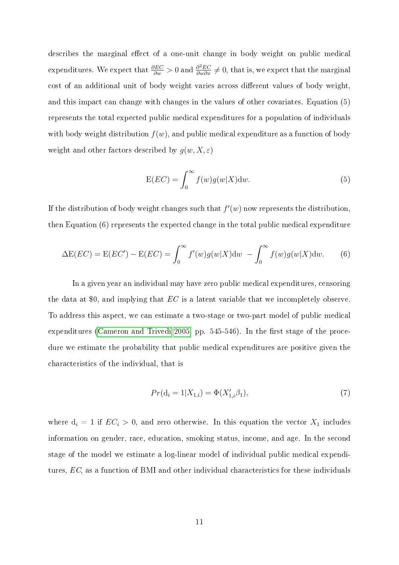describes the marginal effect of a one-unit change in body weight on public medical expenditures. We expect that  $\frac{\partial EC}{\partial w} > 0$  and  $\frac{\partial^2 EC}{\partial w \partial x} \neq 0$ , that is, we expect that the marginal cost of an additional unit of body weight varies across diferent values of body weight, and this impact can change with changes in the values of other covariates. Equation (5) represents the total expected public medical expenditures for a population of individuals with body weight distribution  $f(w)$ , and public medical expenditure as a function of body weight and other factors described by  $g(w, X, \varepsilon)$ 

$$
E(EC) = \int_0^\infty f(w)g(w|X)dw.
$$
 (5)

If the distribution of body weight changes such that  $f'(w)$  now represents the distribution, then Equation (6) represents the expected change in the total public medical expenditure

$$
\Delta E(EC) = E(EC') - E(EC) = \int_0^\infty f'(w)g(w|X)dw - \int_0^\infty f(w)g(w|X)dw.
$$
 (6)

In a given year an individual may have zero public medical expenditures, censoring the data at \$0, and implying that EC is a latent variable that we incompletely observe. To address this aspect, we can estimate a two-stage or two-part model of public medical expenditures [\(Cameron](#page-22-15) and Trivedi [2005,](#page-22-15) pp. 545-546). In the first stage of the procedure we estimate the probability that public medical expenditures are positive given the characteristics of the individual, that is

$$
Pr(\mathbf{d}_i = 1 | X_{1,i}) = \Phi(X'_{1,i} \beta_1), \tag{7}
$$

where  $d_i = 1$  if  $EC_i > 0$ , and zero otherwise. In this equation the vector  $X_1$  includes information on gender, race, education, smoking status, income, and age. In the second stage of the model we estimate a log-linear model of individual public medical expenditures, EC, as a function of BMI and other individual characteristics for these individuals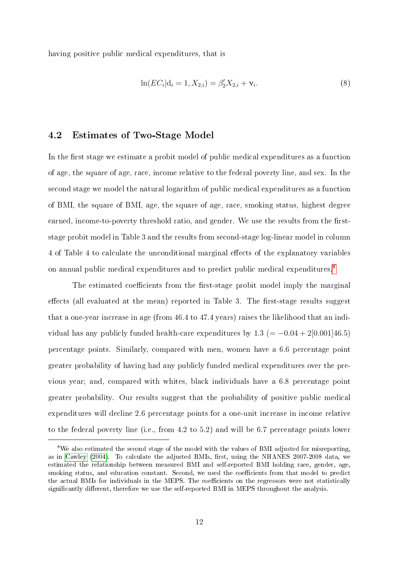having positive public medical expenditures, that is

$$
\ln(EC_i|\mathbf{d}_i=1, X_{2,i}) = \beta_2' X_{2,i} + \mathbf{v}_i.
$$
\n(8)

#### 4.2 Estimates of Two-Stage Model

In the frst stage we estimate a probit model of public medical expenditures as a function of age, the square of age, race, income relative to the federal poverty line, and sex. In the second stage we model the natural logarithm of public medical expenditures as a function of BMI, the square of BMI, age, the square of age, race, smoking status, highest degree earned, income-to-poverty threshold ratio, and gender. We use the results from the firststage probit model in Table 3 and the results from second-stage log-linear model in column 4 of Table 4 to calculate the unconditional marginal efects of the explanatory variables on annual public medical expenditures and to predict public medical expenditures[.8](#page-13-0)

The estimated coefficients from the first-stage probit model imply the marginal effects (all evaluated at the mean) reported in Table 3. The first-stage results suggest that a one-year increase in age (from  $46.4$  to  $47.4$  years) raises the likelihood that an individual has any publicly funded health-care expenditures by 1.3 (=  $-0.04 + 2[0.001]46.5$ ) percentage points. Similarly, compared with men, women have a 6.6 percentage point greater probability of having had any publicly funded medical expenditures over the previous year; and, compared with whites, black individuals have a 6.8 percentage point greater probability. Our results suggest that the probability of positive public medical expenditures will decline 2.6 percentage points for a one-unit increase in income relative to the federal poverty line (i.e., from 4.2 to 5.2) and will be 6.7 percentage points lower

<span id="page-13-0"></span><sup>&</sup>lt;sup>8</sup>We also estimated the second stage of the model with the values of BMI adjusted for misreporting, as in [Cawley](#page-22-9) [\(2004\)](#page-22-9). To calculate the adjusted BMIs, frst, using the NHANES 2007-2008 data, we estimated the relationship between measured BMI and self-reported BMI holding race, gender, age, smoking status, and education constant. Second, we used the coefficients from that model to predict the actual BMIs for individuals in the MEPS. The coefficients on the regressors were not statistically signifcantly diferent, therefore we use the self-reported BMI in MEPS throughout the analysis.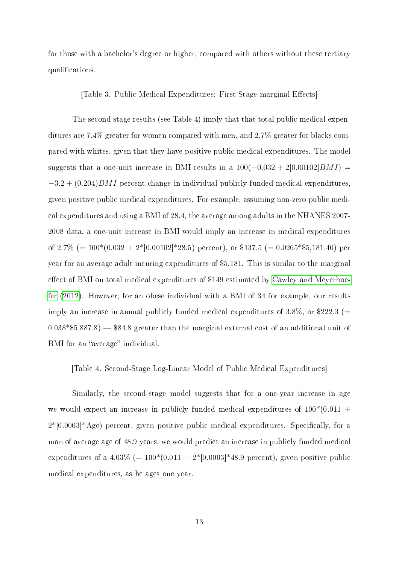for those with a bachelor's degree or higher, compared with others without these tertiary qualifcations.

[Table 3. Public Medical Expenditures: First-Stage marginal Effects]

The second-stage results (see Table 4) imply that that total public medical expenditures are 7.4% greater for women compared with men, and 2.7% greater for blacks compared with whites, given that they have positive public medical expenditures. The model suggests that a one-unit increase in BMI results in a  $100(-0.032 + 2[0.00102]BMI)$  $-3.2 + (0.204) BMI$  percent change in individual publicly funded medical expenditures, given positive public medical expenditures. For example, assuming nonzero public medical expenditures and using a BMI of 28.4, the average among adults in the NHANES 2007 2008 data, a one-unit increase in BMI would imply an increase in medical expenditures of 2.7% (=  $100*(0.032 + 2*[0.00102]*28.5)$  percent), or \$137.5 (=  $0.0265**5,181.40)$  per year for an average adult incuring expenditures of \$5,181. This is similar to the marginal efect of BMI on total medical expenditures of \$149 estimated by Cawley and [Meyerhoe](#page-22-2)[fer](#page-22-2) [\(2012\)](#page-22-2). However, for an obese individual with a BMI of 34 for example, our results imply an increase in annual publicly funded medical expenditures of  $3.8\%$ , or \$222.3 (=  $0.038*\$5,887.8$   $-$  \$84.8 greater than the marginal external cost of an additional unit of BMI for an "average" individual.

[Table 4. Second-Stage Log-Linear Model of Public Medical Expenditures]

Similarly, the second-stage model suggests that for a one-year increase in age we would expect an increase in publicly funded medical expenditures of  $100*(0.011 +$  $2*[0.0003]*Age$  percent, given positive public medical expenditures. Specifically, for a man of average age of 48.9 years, we would predict an increase in publicly funded medical expenditures of a  $4.03\%$  (=  $100*(0.011 + 2*[0.0003]*48.9$  percent), given positive public medical expenditures, as he ages one year.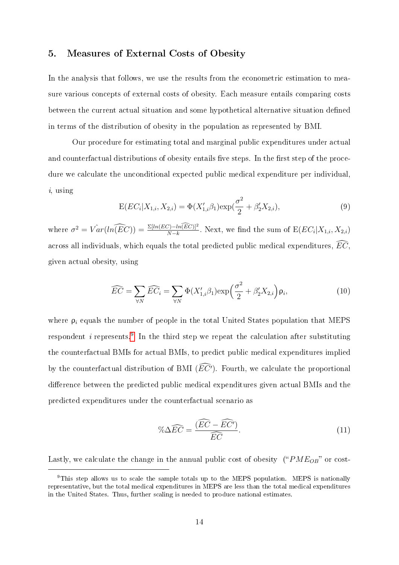#### 5. Measures of External Costs of Obesity

In the analysis that follows, we use the results from the econometric estimation to measure various concepts of external costs of obesity. Each measure entails comparing costs between the current actual situation and some hypothetical alternative situation defned in terms of the distribution of obesity in the population as represented by BMI.

Our procedure for estimating total and marginal public expenditures under actual and counterfactual distributions of obesity entails five steps. In the first step of the procedure we calculate the unconditional expected public medical expenditure per individual, i, using

$$
E(EC_i|X_{1,i}, X_{2,i}) = \Phi(X'_{1,i}\beta_1) \exp(\frac{\sigma^2}{2} + \beta'_2 X_{2,i}),
$$
\n(9)

where  $\sigma^2 = \hat{Var}(ln(\widehat{EC})) = \frac{\Sigma [ln(EC) - ln(\widehat{EC})]^2}{N-k}$ . Next, we find the sum of  $E(EC_i|X_{1,i}, X_{2,i})$ across all individuals, which equals the total predicted public medical expenditures,  $\overline{EC}$ , given actual obesity, using

$$
\widehat{EC} = \sum_{\forall N} \widehat{EC_i} = \sum_{\forall N} \Phi(X'_{1,i}\beta_1) \exp\left(\frac{\sigma^2}{2} + \beta'_2 X_{2,i}\right) \rho_i,\tag{10}
$$

where  $\rho_i$  equals the number of people in the total United States population that MEPS respondent *i* represents.<sup>[9](#page-15-0)</sup> In the third step we repeat the calculation after substituting the counterfactual BMIs for actual BMIs, to predict public medical expenditures implied by the counterfactual distribution of BMI  $(EC<sup>r</sup>)$ . Fourth, we calculate the proportional diference between the predicted public medical expenditures given actual BMIs and the predicted expenditures under the counterfactual scenario as

$$
\% \Delta \widehat{EC} = \frac{(\widehat{EC} - \widehat{EC'})}{\widehat{EC}}.
$$
\n(11)

Lastly, we calculate the change in the annual public cost of obesity (" $PME_{OB}$ " or cost-

<span id="page-15-0"></span><sup>9</sup>This step allows us to scale the sample totals up to the MEPS population. MEPS is nationally representative, but the total medical expenditures in MEPS are less than the total medical expenditures in the United States. Thus, further scaling is needed to produce national estimates.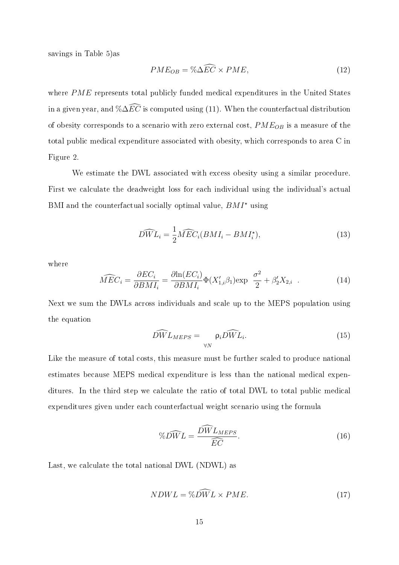savings in Table 5)as

$$
PME_{OB} = \% \Delta \widehat{EC} \times PME,\tag{12}
$$

where PME represents total publicly funded medical expenditures in the United States in a given year, and  $\%\Delta\widehat{EC}$  is computed using (11). When the counterfactual distribution of obesity corresponds to a scenario with zero external cost,  $PME_{OB}$  is a measure of the total public medical expenditure associated with obesity, which corresponds to area C in Figure 2.

We estimate the DWL associated with excess obesity using a similar procedure. First we calculate the deadweight loss for each individual using the individual's actual BMI and the counterfactual socially optimal value,  $BMI^*$  using

$$
\widehat{DWL}_{i} = \frac{1}{2}\widehat{MEC}_{i}(BMI_{i} - BMI_{i}^{\star}),\tag{13}
$$

where

$$
\widehat{MEC}_i = \frac{\partial EC_i}{\partial BMI_i} = \frac{\partial \ln(EC_i)}{\partial BMI_i} \Phi(X_{1,i}'\beta_1) \exp \frac{\sigma^2}{2} + \beta_2' X_{2,i} \quad . \tag{14}
$$

Next we sum the DWLs across individuals and scale up to the MEPS population using the equation

$$
\widehat{DW} L_{MEPS} = \underset{\forall N}{\rho_i} \widehat{DW} L_i. \tag{15}
$$

Like the measure of total costs, this measure must be further scaled to produce national estimates because MEPS medical expenditure is less than the national medical expenditures. In the third step we calculate the ratio of total DWL to total public medical expenditures given under each counterfactual weight scenario using the formula

$$
\%D\widehat{WL} = \frac{\widehat{DW}L_{MEPS}}{\widehat{EC}}.\tag{16}
$$

Last, we calculate the total national DWL (NDWL) as

$$
NDWL = \% \widehat{DWL} \times PME. \tag{17}
$$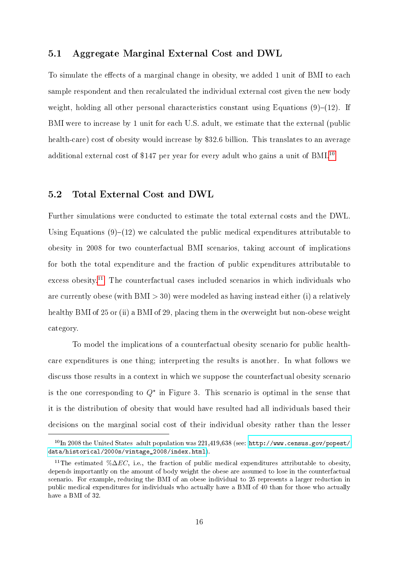#### 5.1 Aggregate Marginal External Cost and DWL

To simulate the efects of a marginal change in obesity, we added 1 unit of BMI to each sample respondent and then recalculated the individual external cost given the new body weight, holding all other personal characteristics constant using Equations  $(9)$ – $(12)$ . If BMI were to increase by 1 unit for each U.S. adult, we estimate that the external (public health-care) cost of obesity would increase by \$32.6 billion. This translates to an average additional external cost of \$147 per year for every adult who gains a unit of BMI.<sup>10</sup>

#### 5.2 Total External Cost and DWL

Further simulations were conducted to estimate the total external costs and the DWL. Using Equations  $(9)$ – $(12)$  we calculated the public medical expenditures attributable to obesity in 2008 for two counterfactual BMI scenarios, taking account of implications for both the total expenditure and the fraction of public expenditures attributable to excess obesity.<sup>11</sup> The counterfactual cases included scenarios in which individuals who are currently obese (with  $BMI > 30$ ) were modeled as having instead either (i) a relatively healthy BMI of 25 or (ii) a BMI of 29, placing them in the overweight but non-obese weight category.

To model the implications of a counterfactual obesity scenario for public healthcare expenditures is one thing; interpreting the results is another. In what follows we discuss those results in a context in which we suppose the counterfactual obesity scenario is the one corresponding to  $Q^*$  in Figure 3. This scenario is optimal in the sense that it is the distribution of obesity that would have resulted had all individuals based their decisions on the marginal social cost of their individual obesity rather than the lesser

<span id="page-17-0"></span> $10$ In 2008 the United States adult population was 221,419,638 (see: [http://www.census.gov/popest/](http://www.census.gov/popest/data/historical/2000s/vintage_2008/index.html) [data/historical/2000s/vintage 2008/index.html\)](http://www.census.gov/popest/data/historical/2000s/vintage_2008/index.html).

<span id="page-17-1"></span><sup>&</sup>lt;sup>11</sup>The estimated % $\Delta EC$ , i.e., the fraction of public medical expenditures attributable to obesity, depends importantly on the amount of body weight the obese are assumed to lose in the counterfactual scenario. For example, reducing the BMI of an obese individual to 25 represents a larger reduction in public medical expenditures for individuals who actually have a BMI of 40 than for those who actually have a BMI of 32.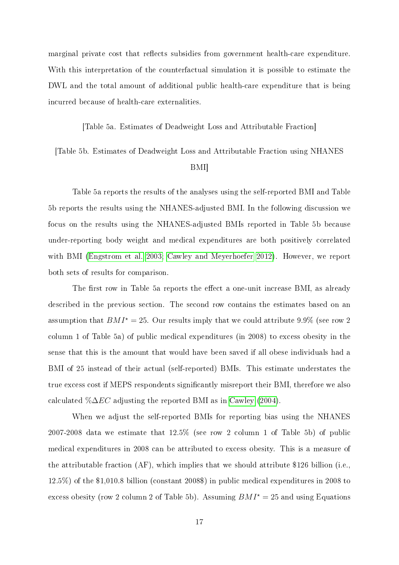marginal private cost that reflects subsidies from government health-care expenditure. With this interpretation of the counterfactual simulation it is possible to estimate the DWL and the total amount of additional public health-care expenditure that is being incurred because of health-care externalities.

[Table 5a. Estimates of Deadweight Loss and Attributable Fraction]

[Table 5b. Estimates of Deadweight Loss and Attributable Fraction using NHANES

#### BMI]

Table 5a reports the results of the analyses using the selfreported BMI and Table 5b reports the results using the NHANES-adjusted BMI. In the following discussion we focus on the results using the NHANES-adjusted BMIs reported in Table 5b because under-reporting body weight and medical expenditures are both positively correlated with BMI [\(Engstrom](#page-22-16) et al. [2003;](#page-22-16) Cawley and [Meyerhoefer](#page-22-2) [2012\)](#page-22-2). However, we report both sets of results for comparison.

The first row in Table 5a reports the effect a one-unit increase BMI, as already described in the previous section. The second row contains the estimates based on an assumption that  $BMI^* = 25$ . Our results imply that we could attribute 9.9% (see row 2) column 1 of Table 5a) of public medical expenditures (in 2008) to excess obesity in the sense that this is the amount that would have been saved if all obese individuals had a BMI of 25 instead of their actual (selfreported) BMIs. This estimate understates the true excess cost if MEPS respondents signifcantly misreport their BMI, therefore we also calculated  $\%\Delta EC$  adjusting the reported BMI as in [Cawley](#page-22-9) [\(2004\)](#page-22-9).

When we adjust the self-reported BMIs for reporting bias using the NHANES 2007-2008 data we estimate that  $12.5\%$  (see row 2 column 1 of Table 5b) of public medical expenditures in 2008 can be attributed to excess obesity. This is a measure of the attributable fraction (AF), which implies that we should attribute \$126 billion (i.e., 12.5%) of the \$1,010.8 billion (constant 2008\$) in public medical expenditures in 2008 to excess obesity (row 2 column 2 of Table 5b). Assuming  $BMI^* = 25$  and using Equations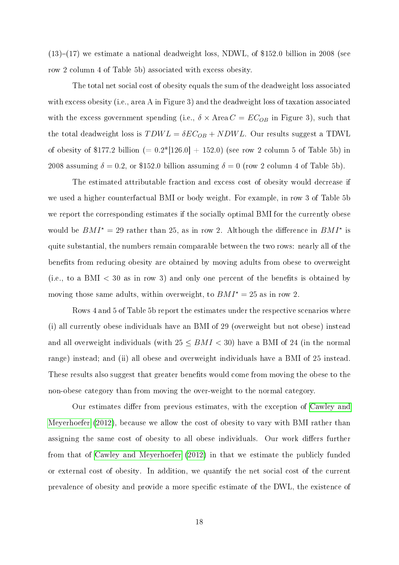$(13)-(17)$  we estimate a national deadweight loss, NDWL, of \$152.0 billion in 2008 (see row 2 column 4 of Table 5b) associated with excess obesity.

The total net social cost of obesity equals the sum of the deadweight loss associated with excess obesity (i.e., area A in Figure 3) and the deadweight loss of taxation associated with the excess government spending (i.e.,  $\delta \times \text{Area } C = EC_{OB}$  in Figure 3), such that the total deadweight loss is  $TDWL = \delta EC_{OB} + NDWL$ . Our results suggest a TDWL of obesity of \$177.2 billion  $(= 0.2*[126.0] + 152.0)$  (see row 2 column 5 of Table 5b) in 2008 assuming  $\delta = 0.2$ , or \$152.0 billion assuming  $\delta = 0$  (row 2 column 4 of Table 5b).

The estimated attributable fraction and excess cost of obesity would decrease if we used a higher counterfactual BMI or body weight. For example, in row 3 of Table 5b we report the corresponding estimates if the socially optimal BMI for the currently obese would be  $BMI^* = 29$  rather than 25, as in row 2. Although the difference in  $BMI^*$  is quite substantial, the numbers remain comparable between the two rows: nearly all of the benefts from reducing obesity are obtained by moving adults from obese to overweight (i.e., to a BMI  $<$  30 as in row 3) and only one percent of the benefits is obtained by moving those same adults, within overweight, to  $BMI^* = 25$  as in row 2.

Rows 4 and 5 of Table 5b report the estimates under the respective scenarios where (i) all currently obese individuals have an BMI of 29 (overweight but not obese) instead and all overweight individuals (with  $25 \leq BMI < 30$ ) have a BMI of 24 (in the normal range) instead; and (ii) all obese and overweight individuals have a BMI of 25 instead. These results also suggest that greater benefts would come from moving the obese to the non-obese category than from moving the over-weight to the normal category.

Our estimates difer from previous estimates, with the exception of [Cawley](#page-22-2) and [Meyerhoefer](#page-22-2) [\(2012\)](#page-22-2), because we allow the cost of obesity to vary with BMI rather than assigning the same cost of obesity to all obese individuals. Our work difers further from that of Cawley and [Meyerhoefer](#page-22-2) [\(2012\)](#page-22-2) in that we estimate the publicly funded or external cost of obesity. In addition, we quantify the net social cost of the current prevalence of obesity and provide a more specifc estimate of the D\L, the existence of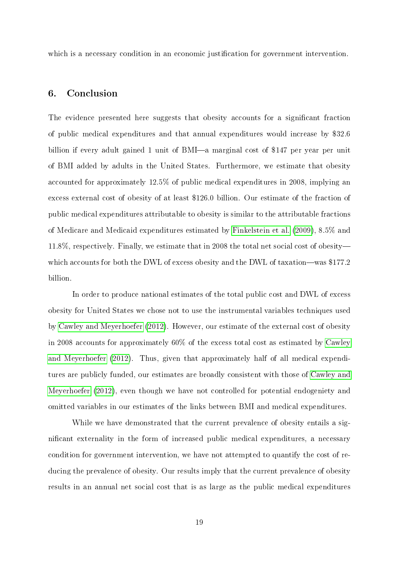which is a necessary condition in an economic justification for government intervention.

#### 6. Conclusion

The evidence presented here suggests that obesity accounts for a signifcant fraction of public medical expenditures and that annual expenditures would increase by \$32.6 billion if every adult gained 1 unit of BMI—a marginal cost of \$147 per year per unit of BMI added by adults in the United States. Furthermore, we estimate that obesity accounted for approximately 12.5% of public medical expenditures in 2008, implying an excess external cost of obesity of at least \$126.0 billion. Our estimate of the fraction of public medical expenditures attributable to obesity is similar to the attributable fractions of Medicare and Medicaid expenditures estimated by [Finkelstein](#page-22-1) et al. [\(2009\)](#page-22-1), 8.5% and 11.8%, respectively. Finally, we estimate that in 2008 the total net social cost of obesitywhich accounts for both the DWL of excess obesity and the DWL of taxation-was \$177.2 billion.

In order to produce national estimates of the total public cost and DWL of excess obesity for United States we chose not to use the instrumental variables techniques used by Cawley and [Meyerhoefer](#page-22-2) [\(2012\)](#page-22-2). However, our estimate of the external cost of obesity in 2008 accounts for approximately 60% of the excess total cost as estimated by [Cawley](#page-22-2) and [Meyerhoefer](#page-22-2) [\(2012\)](#page-22-2). Thus, given that approximately half of all medical expenditures are publicly funded, our estimates are broadly consistent with those of [Cawley](#page-22-2) and [Meyerhoefer](#page-22-2) [\(2012\)](#page-22-2), even though we have not controlled for potential endogeniety and omitted variables in our estimates of the links between BMI and medical expenditures.

While we have demonstrated that the current prevalence of obesity entails a signifcant externality in the form of increased public medical expenditures, a necessary condition for government intervention, we have not attempted to quantify the cost of reducing the prevalence of obesity. Our results imply that the current prevalence of obesity results in an annual net social cost that is as large as the public medical expenditures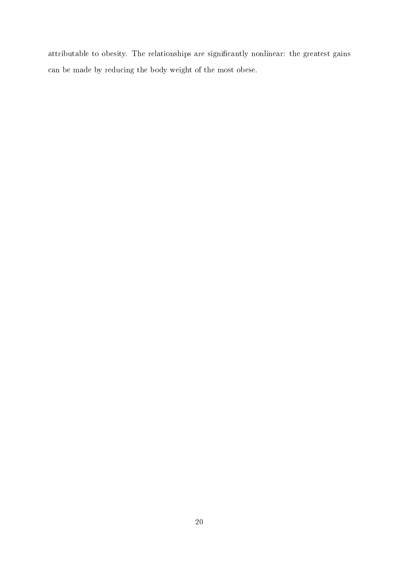attributable to obesity. The relationships are signifcantly nonlinear: the greatest gains can be made by reducing the body weight of the most obese.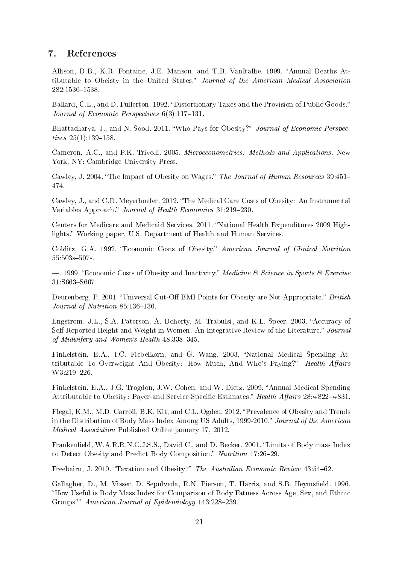#### 7. References

<span id="page-22-12"></span>Allison, D.B., K.R. Fontaine, J.E. Manson, and T.B. VanItallie. 1999. "Annual Deaths Attibutable to Obeisty in the United States." Journal of the American Medical Association 282:1530�1538.

<span id="page-22-10"></span>Ballard, C.L., and D. Fullerton. 1992. "Distortionary Taxes and the Provision of Public Goods." Journal of Economic Perspectives  $6(3)$ :117-131.

<span id="page-22-4"></span>Bhattacharya, J., and N. Sood. 2011. "Who Pays for Obesity?" Journal of Economic Perspectives  $25(1)$ :139-158.

<span id="page-22-15"></span>Cameron, A.C., and P.K. Trivedi. 2005. Microeconometrics: Methods and Applications. New York, NY: Cambridge University Press.

<span id="page-22-9"></span>Cawley, J. 2004. "The Impact of Obesity on Wages." The Journal of Human Resources 39:451-474.

<span id="page-22-2"></span>Cawley, J., and C.D. Meyerhoefer. 2012. "The Medical Care Costs of Obesity: An Instrumental Variables Approach." Journal of Health Economics 31:219-230.

<span id="page-22-8"></span>Centers for Medicare and Medicaid Services. 2011. "National Health Expenditures 2009 Highlights." Working paper, U.S. Department of Health and Human Services.

<span id="page-22-11"></span>Colditz, G.A. 1992. "Economic Costs of Obesity." American Journal of Clinical Nutrition 55:503s�507s.

<span id="page-22-13"></span> $-$ . 1999. "Economic Costs of Obesity and Inactivity." Medicine & Science in Sports & Exercise 31:S663-S667.

<span id="page-22-6"></span>Deurenberg, P. 2001. "Universal Cut-Off BMI Points for Obesity are Not Appropriate." British Journal of Nutrition 85:136-136.

<span id="page-22-16"></span>Engstrom, J.L., S.A. Paterson, A. Doherty, M. Trabulsi, and K.L. Speer. 2003. "Accuracy of Self-Reported Height and Weight in Women: An Integrative Review of the Literature." Journal of Midwifery and Women's Health 48:338-345.

<span id="page-22-14"></span>Finkelstein, E.A., I.C. Fiebelkorn, and G. Wang. 2003. "National Medical Spending Attributable To Overweight And Obesity: How Much, And Who's Paying?" Health Affairs W3:219-226.

<span id="page-22-1"></span>Finkelstein, E.A., J.G. Trogdon, J.W. Cohen, and W. Dietz. 2009. "Annual Medical Spending Attributable to Obesity: Payer-and Service-Specific Estimates." Health Affairs 28:w822–w831.

<span id="page-22-0"></span>Flegal, K.M., M.D. Carroll, B.K. Kit, and C.L. Ogden. 2012. "Prevalence of Obesity and Trends in the Distribution of Body Mass Index Among US Adults, 1999-2010." Journal of the American Medical Association Published Online january 17, 2012.

<span id="page-22-7"></span>Frankenfeld, W.A.R.R.N.C.J.S.S., David C., and D. Becker. 2001. "Limits of Body mass Index to Detect Obesity and Predict Body Composition." Nutrition 17:26-29.

<span id="page-22-3"></span>Freebairn, J. 2010. "Taxation and Obesity?" The Australian Economic Review 43:54-62.

<span id="page-22-5"></span>Gallagher, D., M. Visser, D. Sepulveda, R.N. Pierson, T. Harris, and S.B. Heymsfeld. 1996. "How Useful is Body Mass Index for Comparison of Body Fatness Across Age, Sex, and Ethnic Groups?" American Journal of Epidemiology 143:228-239.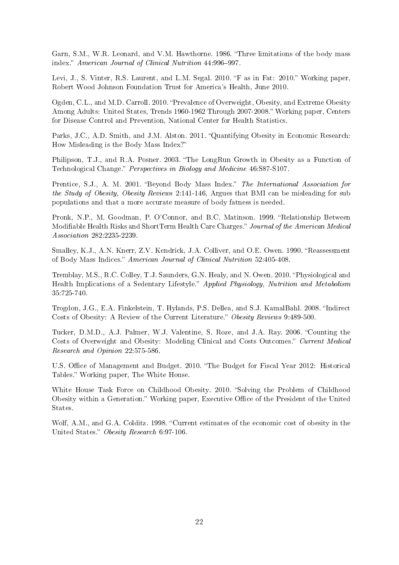<span id="page-23-3"></span>Garn, S.M., W.R. Leonard, and V.M. Hawthorne. 1986. "Three limitations of the body mass index." American Journal of Clinical Nutrition 44:996-997.

<span id="page-23-2"></span>Levi, J., S. Vinter, R.S. Laurent, and L.M. Segal. 2010. "F as in Fat: 2010." Working paper, Robert Wood Johnson Foundation Trust for America's Health, June 2010.

<span id="page-23-0"></span>Ogden, C.L., and M.D. Carroll. 2010. "Prevalence of Overweight, Obesity, and Extreme Obesity Among Adults: United States, Trends 1960-1962 Through 2007-2008." Working paper, Centers for Disease Control and Prevention, National Center for Health Statistics.

<span id="page-23-5"></span>Parks, J.C., A.D. Smith, and J.M. Alston. 2011. "Quantifying Obesity in Economic Research: How Misleading is the Body Mass Index?"

<span id="page-23-7"></span>Philipson, T.J., and R.A. Posner. 2003. "The LongRun Growth in Obesity as a Function of Technological Change." Perspectives in Biology and Medicine 46:S87-S107.

<span id="page-23-6"></span>Prentice, S.J., A. M. 2001. "Beyond Body Mass Index." The International Association for the Study of Obesity, Obesity Reviews 2:141-146, Argues that BMI can be misleading for sub populations and that a more accurate measure of body fatness is needed.

<span id="page-23-11"></span>Pronk, N.P., M. Goodman, P. O'Connor, and B.C. Matinson. 1999. "Relationship Between Modifable Health Risks and ShortTerm Health Care Charges." Journal of the American Medical Association 282:2235-2239.

<span id="page-23-4"></span>Smalley, K.J., A.N. Knerr, Z.V. Kendrick, J.A. Colliver, and O.E. Owen. 1990. "Reassessment of Body Mass Indices." American Journal of Clinical Nutrition 52:405-408.

<span id="page-23-9"></span>Tremblay, M.S., R.C. Colley, T.J. Saunders, G.N. Healy, and N. Owen. 2010. "Physiological and Health Implications of a Sedentary Lifestyle." Applied Physiology, Nutrition and Metabolism 35:725-740.

<span id="page-23-8"></span>Trogdon, J.G., E.A. Finkelstein, T. Hylands, P.S. Dellea, and S.J. KamalBahl. 2008. "Indirect Costs of Obesity: A Review of the Current Literature." Obesity Reviews 9:489-500.

<span id="page-23-10"></span>Tucker, D.M.D., A.J. Palmer, W.J. Valentine, S. Roze, and J.A. Ray. 2006. "Counting the Costs of Overweight and Obesity: Modeling Clinical and Costs Outcomes." Current Medical Research and Opinion 22:575-586.

U.S. Office of Management and Budget. 2010. "The Budget for Fiscal Year 2012: Historical Tables." Working paper, The White House.

White House Task Force on Childhood Obesity. 2010. "Solving the Problem of Childhood Obesity within a Generation." Working paper, Executive Office of the President of the United States.

<span id="page-23-1"></span>Wolf, A.M., and G.A. Colditz. 1998. "Current estimates of the economic cost of obesity in the United States." Obesity Research 6:97-106.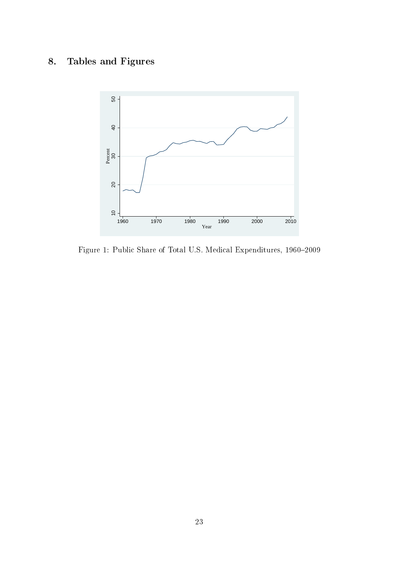## 8. Tables and Figures



Figure 1: Public Share of Total U.S. Medical Expenditures, 1960-2009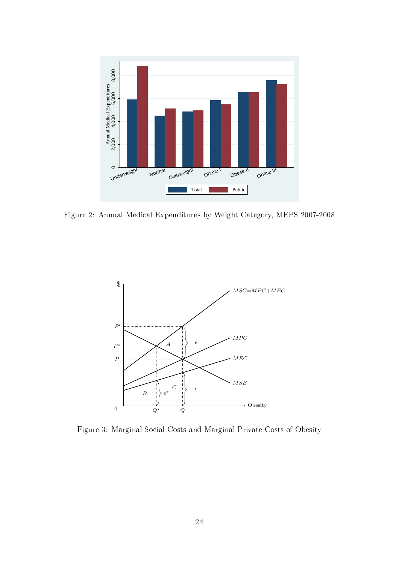

Figure 2: Annual Medical Expenditures by Weight Category, MEPS 2007-2008



Figure 3: Marginal Social Costs and Marginal Private Costs of Obesity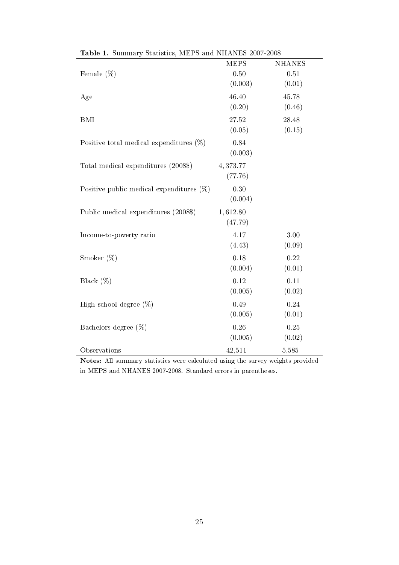|                                             | <b>MEPS</b>         | <b>NHANES</b>   |
|---------------------------------------------|---------------------|-----------------|
| Female $(\%)$                               | 0.50<br>(0.003)     | 0.51<br>(0.01)  |
| Age                                         | 46.40<br>(0.20)     | 45.78<br>(0.46) |
| <b>BMI</b>                                  | 27.52<br>(0.05)     | 28.48<br>(0.15) |
| Positive total medical expenditures $(\%)$  | 0.84<br>(0.003)     |                 |
| Total medical expenditures (2008\$)         | 4,373.77<br>(77.76) |                 |
| Positive public medical expenditures $(\%)$ | 0.30<br>(0.004)     |                 |
| Public medical expenditures (2008\$)        | 1,612.80<br>(47.79) |                 |
| Income-to-poverty ratio                     | 4.17<br>(4.43)      | 3.00<br>(0.09)  |
| Smoker $(\%)$                               | 0.18<br>(0.004)     | 0.22<br>(0.01)  |
| Black $(\%)$                                | 0.12<br>(0.005)     | 0.11<br>(0.02)  |
| High school degree $(\%)$                   | 0.49<br>(0.005)     | 0.24<br>(0.01)  |
| Bachelors degree $(\%)$                     | 0.26<br>(0.005)     | 0.25<br>(0.02)  |
| Observations                                | 42,511              | 5,585           |

| Table 1. Summary Statistics, MEPS and NHANES 2007-2008 |  |  |  |
|--------------------------------------------------------|--|--|--|
|                                                        |  |  |  |

Notes: All summary statistics were calculated using the survey weights provided in MEPS and NHANES 2007-2008. Standard errors in parentheses.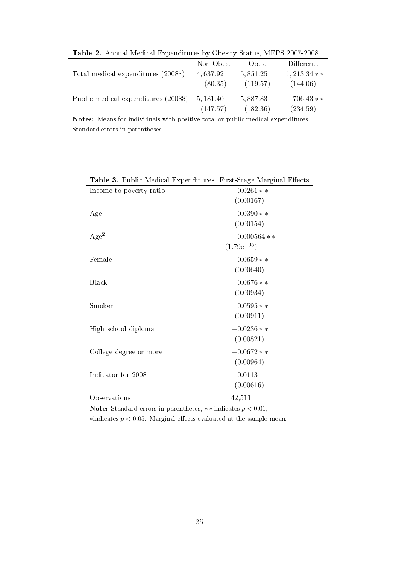| <b>Table 2.</b> Annual Medical Expenditures by Obesity Status, MEPS 2007-2008 |           |           |              |  |  |
|-------------------------------------------------------------------------------|-----------|-----------|--------------|--|--|
|                                                                               | Non-Obese | Obese     | Difference   |  |  |
| Total medical expenditures (2008\$)                                           | 4,637.92  | 5, 851.25 | $1,213.34**$ |  |  |
|                                                                               | (80.35)   | (119.57)  | (144.06)     |  |  |
| Public medical expenditures (2008\$)                                          | 5, 181.40 | 5,887.83  | $706.43**$   |  |  |
|                                                                               | (147.57)  | (182.36)  | (234.59)     |  |  |

Table 2. Annual Medical Expenditures by Obesity Status, MEPS 2007-2008

Notes: Means for individuals with positive total or public medical expenditures. Standard errors in parentheses.

| <b>Table 5.</b> Public Medical Expenditures: Pirst-Stage Marginal Effects |                 |
|---------------------------------------------------------------------------|-----------------|
| Income-to-poverty ratio                                                   | $-0.0261**$     |
|                                                                           | (0.00167)       |
| Age                                                                       | $-0.0390**$     |
|                                                                           | (0.00154)       |
| Age <sup>2</sup>                                                          | $0.000564$ **   |
|                                                                           | $(1.79e^{-05})$ |
| Female                                                                    | $0.0659**$      |
|                                                                           | (0.00640)       |
| Black                                                                     | $0.0676**$      |
|                                                                           | (0.00934)       |
| Smoker                                                                    | $0.0595**$      |
|                                                                           | (0.00911)       |
| High school diploma                                                       | $-0.0236**$     |
|                                                                           | (0.00821)       |
| College degree or more                                                    | $-0.0672**$     |
|                                                                           | (0.00964)       |
| Indicator for 2008                                                        | 0.0113          |
|                                                                           | (0.00616)       |
| Observations                                                              | 42,511          |

Table 3. Public Medical Expenditures: First-Stage Marginal Efects

Note: Standard errors in parentheses,  $**$  indicates  $p < 0.01$ ,  $*$ indicates  $p < 0.05$ . Marginal effects evaluated at the sample mean.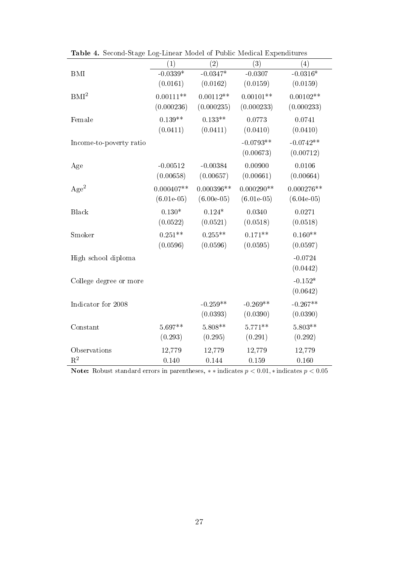|                         | (1)          | (2)          | (3)          | (4)          |
|-------------------------|--------------|--------------|--------------|--------------|
| <b>BMI</b>              | $-0.0339*$   | $-0.0347*$   | $-0.0307$    | $-0.0316*$   |
|                         | (0.0161)     | (0.0162)     | (0.0159)     | (0.0159)     |
| BMI <sup>2</sup>        | $0.00111**$  | $0.00112**$  | $0.00101**$  | $0.00102**$  |
|                         | (0.000236)   | (0.000235)   | (0.000233)   | (0.000233)   |
| Female                  | $0.139**$    | $0.133**$    | 0.0773       | 0.0741       |
|                         | (0.0411)     | (0.0411)     | (0.0410)     | (0.0410)     |
| Income-to-poverty ratio |              |              | $-0.0793**$  | $-0.0742**$  |
|                         |              |              | (0.00673)    | (0.00712)    |
| Age                     | $-0.00512$   | $-0.00384$   | 0.00900      | 0.0106       |
|                         | (0.00658)    | (0.00657)    | (0.00661)    | (0.00664)    |
| Age <sup>2</sup>        | $0.000407**$ | $0.000396**$ | $0.000290**$ | $0.000276**$ |
|                         | $(6.01e-05)$ | $(6.00e-05)$ | $(6.01e-05)$ | $(6.04e-05)$ |
| Black                   | $0.130*$     | $0.124*$     | 0.0340       | 0.0271       |
|                         | (0.0522)     | (0.0521)     | (0.0518)     | (0.0518)     |
| Smoker                  | $0.251**$    | $0.255**$    | $0.171**$    | $0.160**$    |
|                         | (0.0596)     | (0.0596)     | (0.0595)     | (0.0597)     |
| High school diploma     |              |              |              | $-0.0724$    |
|                         |              |              |              | (0.0442)     |
| College degree or more  |              |              |              | $-0.152*$    |
|                         |              |              |              | (0.0642)     |
| Indicator for 2008      |              | $-0.259**$   | $-0.269**$   | $-0.267**$   |
|                         |              | (0.0393)     | (0.0390)     | (0.0390)     |
| Constant                | $5.697**$    | $5.808**$    | $5.771**$    | $5.803**$    |
|                         | (0.293)      | (0.295)      | (0.291)      | (0.292)      |
| Observations            | 12,779       | 12,779       | 12,779       | 12,779       |
| $\mathbf{R}^2$          | 0.140        | 0.144        | 0.159        | 0.160        |

Table 4. Second-Stage Log-Linear Model of Public Medical Expenditures

Note: Robust standard errors in parentheses,  $\ast \ast$  indicates  $p < 0.01, \ast$  indicates  $p < 0.05$